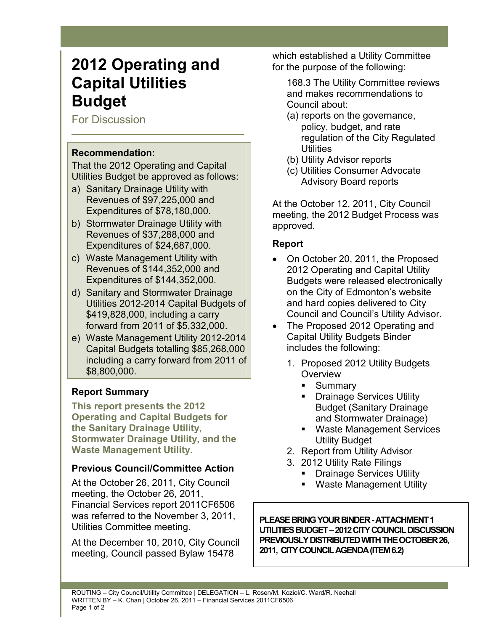# **2012 Operating and Capital Utilities Budget**

For Discussion

## **Recommendation:**

That the 2012 Operating and Capital Utilities Budget be approved as follows:

- a) Sanitary Drainage Utility with Revenues of \$97,225,000 and Expenditures of \$78,180,000.
- b) Stormwater Drainage Utility with Revenues of \$37,288,000 and Expenditures of \$24,687,000.
- c) Waste Management Utility with Revenues of \$144,352,000 and Expenditures of \$144,352,000.
- d) Sanitary and Stormwater Drainage Utilities 2012-2014 Capital Budgets of \$419,828,000, including a carry forward from 2011 of \$5,332,000.
- e) Waste Management Utility 2012-2014 Capital Budgets totalling \$85,268,000 including a carry forward from 2011 of \$8,800,000.

# **Report Summary**

**This report presents the 2012 Operating and Capital Budgets for the Sanitary Drainage Utility, Stormwater Drainage Utility, and the Waste Management Utility.** 

## **Previous Council/Committee Action**

At the October 26, 2011, City Council meeting, the October 26, 2011, Financial Services report 2011CF6506 was referred to the November 3, 2011, Utilities Committee meeting.

At the December 10, 2010, City Council meeting, Council passed Bylaw 15478

which established a Utility Committee for the purpose of the following:

168.3 The Utility Committee reviews and makes recommendations to Council about:

- (a) reports on the governance, policy, budget, and rate regulation of the City Regulated **Utilities**
- (b) Utility Advisor reports
- (c) Utilities Consumer Advocate Advisory Board reports

At the October 12, 2011, City Council meeting, the 2012 Budget Process was approved.

## **Report**

- On October 20, 2011, the Proposed 2012 Operating and Capital Utility Budgets were released electronically on the City of Edmonton's website and hard copies delivered to City Council and Council's Utility Advisor.
- The Proposed 2012 Operating and Capital Utility Budgets Binder includes the following:
	- 1. Proposed 2012 Utility Budgets **Overview** 
		- Summary
		- Drainage Services Utility Budget (Sanitary Drainage and Stormwater Drainage)
		- Waste Management Services Utility Budget
	- 2. Report from Utility Advisor
	- 3. 2012 Utility Rate Filings
		- Drainage Services Utility
		- Waste Management Utility

**PLEASE BRING YOUR BINDER - ATTACHMENT 1 UTILITIES BUDGET – 2012 CITY COUNCIL DISCUSSION PREVIOUSLY DISTRIBUTED WITH THE OCTOBER 26, 2011, CITY COUNCIL AGENDA (ITEM 6.2)**